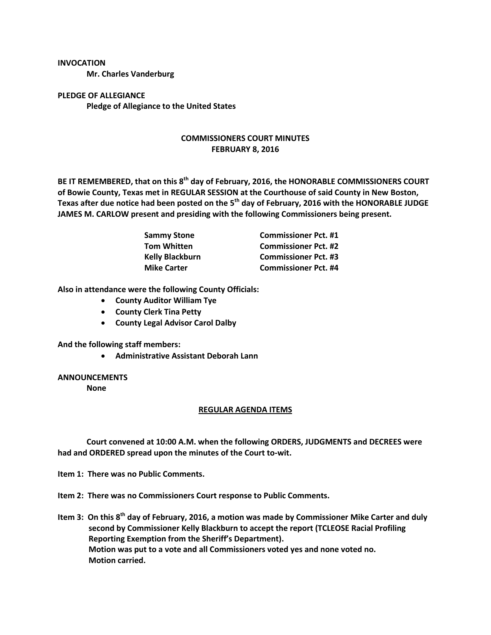**INVOCATION**

**Mr. Charles Vanderburg**

**PLEDGE OF ALLEGIANCE Pledge of Allegiance to the United States**

## **COMMISSIONERS COURT MINUTES FEBRUARY 8, 2016**

**BE IT REMEMBERED, that on this 8th day of February, 2016, the HONORABLE COMMISSIONERS COURT of Bowie County, Texas met in REGULAR SESSION at the Courthouse of said County in New Boston, Texas after due notice had been posted on the 5th day of February, 2016 with the HONORABLE JUDGE JAMES M. CARLOW present and presiding with the following Commissioners being present.**

| <b>Sammy Stone</b>     | <b>Commissioner Pct. #1</b> |
|------------------------|-----------------------------|
| <b>Tom Whitten</b>     | <b>Commissioner Pct. #2</b> |
| <b>Kelly Blackburn</b> | <b>Commissioner Pct. #3</b> |
| <b>Mike Carter</b>     | <b>Commissioner Pct. #4</b> |

**Also in attendance were the following County Officials:**

- **County Auditor William Tye**
- **County Clerk Tina Petty**
- **County Legal Advisor Carol Dalby**

**And the following staff members:**

**Administrative Assistant Deborah Lann**

## **ANNOUNCEMENTS**

**None**

## **REGULAR AGENDA ITEMS**

**Court convened at 10:00 A.M. when the following ORDERS, JUDGMENTS and DECREES were had and ORDERED spread upon the minutes of the Court to-wit.**

**Item 1: There was no Public Comments.**

**Item 2: There was no Commissioners Court response to Public Comments.**

Item 3: On this 8<sup>th</sup> day of February, 2016, a motion was made by Commissioner Mike Carter and duly **second by Commissioner Kelly Blackburn to accept the report (TCLEOSE Racial Profiling Reporting Exemption from the Sheriff's Department). Motion was put to a vote and all Commissioners voted yes and none voted no. Motion carried.**